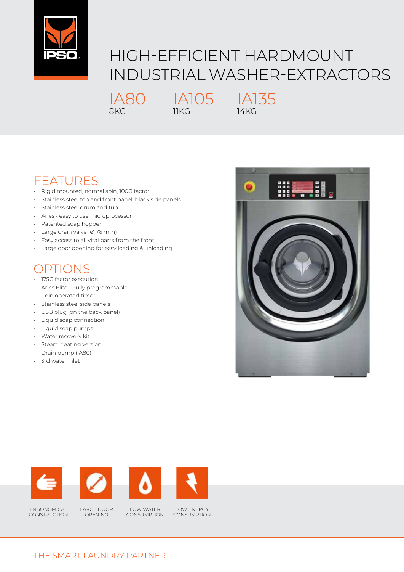

## HIGH-EFFICIENT HARDMOUNT INDUSTRIAL WASHER-EXTRACTORS

IA80 8KG

IA135 14KG

IA105

11KG

## FEATURES

- Rigid mounted, normal spin, 100G factor
- Stainless steel top and front panel, black side panels
- Stainless steel drum and tub
- Aries easy to use microprocessor
- Patented soap hopper
- Large drain valve (Ø 76 mm)
- Easy access to all vital parts from the front
- Large door opening for easy loading & unloading

## OPTIONS

- 175G factor execution
- Aries Elite Fully programmable
- Coin operated timer
- Stainless steel side panels
- USB plug (on the back panel)
- Liquid soap connection
- Liquid soap pumps
- Water recovery kit
- Steam heating version
- Drain pump (IA80)
- 3rd water inlet













ERGONOMICAL **CONSTRUCTION**  LARGE DOOR OPENING

LOW WATER CONSUMPTION

LOW ENERGY **CONSUMPTION**